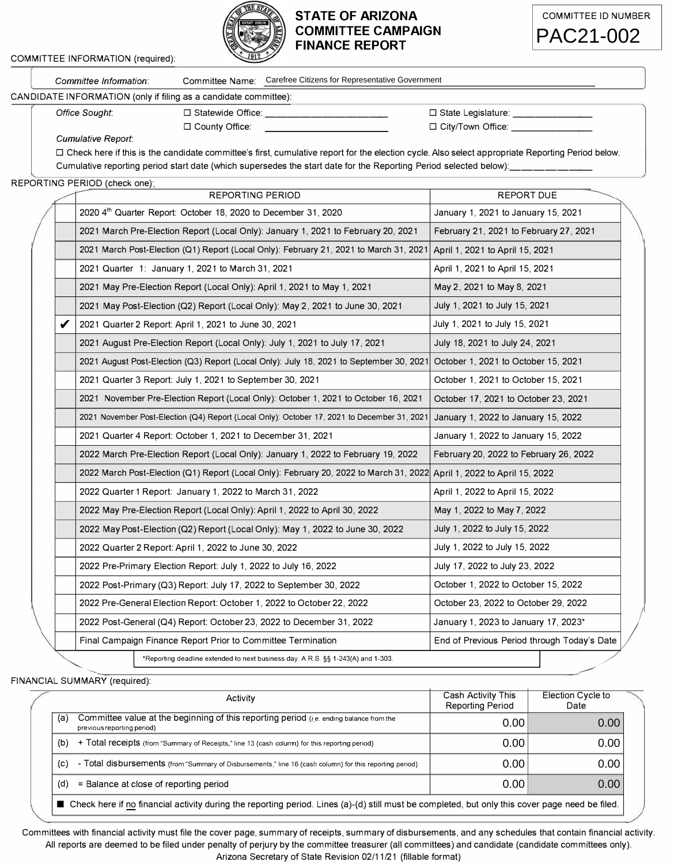

## **STATE OF ARIZONA COMMITTEE CAMPAIGN FINANCE REPORT**



| Committee Information:                                                                                            | Committee Name:                                                                                                                                    | Carefree Citizens for Representative Government |  |  |  |  |  |
|-------------------------------------------------------------------------------------------------------------------|----------------------------------------------------------------------------------------------------------------------------------------------------|-------------------------------------------------|--|--|--|--|--|
| CANDIDATE INFORMATION (only if filing as a candidate committee):                                                  |                                                                                                                                                    |                                                 |  |  |  |  |  |
| Office Sought:                                                                                                    | $\Box$ Statewide Office:                                                                                                                           | $\Box$ State Legislature:                       |  |  |  |  |  |
|                                                                                                                   | $\Box$ County Office:                                                                                                                              | $\Box$ City/Town Office:                        |  |  |  |  |  |
| Cumulative Report:                                                                                                |                                                                                                                                                    |                                                 |  |  |  |  |  |
|                                                                                                                   | □ Check here if this is the candidate committee's first, cumulative report for the election cycle. Also select appropriate Reporting Period below. |                                                 |  |  |  |  |  |
| Cumulative reporting period start date (which supersedes the start date for the Reporting Period selected below): |                                                                                                                                                    |                                                 |  |  |  |  |  |

COMMITTEE INFORMATION (required):

## REPORTING PERIOD (check one)·

| Committee Name: Carefree Citizens for Representative Government<br>Committee Information:                                                          |                                               |                                             |  |
|----------------------------------------------------------------------------------------------------------------------------------------------------|-----------------------------------------------|---------------------------------------------|--|
| ATE INFORMATION (only if filing as a candidate committee):                                                                                         |                                               |                                             |  |
| Office Sought:                                                                                                                                     |                                               | $\Box$ State Legislature:                   |  |
| □ County Office:<br><b>Cumulative Report:</b>                                                                                                      |                                               | $\Box$ City/Town Office:                    |  |
| □ Check here if this is the candidate committee's first, cumulative report for the election cycle. Also select appropriate Reporting Period below. |                                               |                                             |  |
| Cumulative reporting period start date (which supersedes the start date for the Reporting Period selected below):                                  |                                               |                                             |  |
| TING PERIOD (check one);<br><b>REPORTING PERIOD</b>                                                                                                |                                               | REPORT DUE                                  |  |
| 2020 4th Quarter Report: October 18, 2020 to December 31, 2020                                                                                     |                                               | January 1, 2021 to January 15, 2021         |  |
| 2021 March Pre-Election Report (Local Only): January 1, 2021 to February 20, 2021                                                                  |                                               | February 21, 2021 to February 27, 2021      |  |
| 2021 March Post-Election (Q1) Report (Local Only): February 21, 2021 to March 31, 2021                                                             |                                               | April 1, 2021 to April 15, 2021             |  |
| 2021 Quarter 1: January 1, 2021 to March 31, 2021                                                                                                  |                                               | April 1, 2021 to April 15, 2021             |  |
| 2021 May Pre-Election Report (Local Only): April 1, 2021 to May 1, 2021                                                                            |                                               | May 2, 2021 to May 8, 2021                  |  |
| 2021 May Post-Election (Q2) Report (Local Only): May 2, 2021 to June 30, 2021                                                                      |                                               | July 1, 2021 to July 15, 2021               |  |
| 2021 Quarter 2 Report: April 1, 2021 to June 30, 2021                                                                                              |                                               | July 1, 2021 to July 15, 2021               |  |
| 2021 August Pre-Election Report (Local Only): July 1, 2021 to July 17, 2021                                                                        |                                               | July 18, 2021 to July 24, 2021              |  |
| 2021 August Post-Election (Q3) Report (Local Only): July 18, 2021 to September 30, 2021                                                            |                                               | October 1, 2021 to October 15, 2021         |  |
| 2021 Quarter 3 Report: July 1, 2021 to September 30, 2021                                                                                          |                                               | October 1, 2021 to October 15, 2021         |  |
| 2021 November Pre-Election Report (Local Only): October 1, 2021 to October 16, 2021                                                                |                                               | October 17, 2021 to October 23, 2021        |  |
| 2021 November Post-Election (Q4) Report (Local Only): October 17, 2021 to December 31, 2021                                                        |                                               | January 1, 2022 to January 15, 2022         |  |
| 2021 Quarter 4 Report: October 1, 2021 to December 31, 2021                                                                                        |                                               | January 1, 2022 to January 15, 2022         |  |
| 2022 March Pre-Election Report (Local Only): January 1, 2022 to February 19, 2022                                                                  |                                               | February 20, 2022 to February 26, 2022      |  |
| 2022 March Post-Election (Q1) Report (Local Only): February 20, 2022 to March 31, 2022                                                             |                                               | April 1, 2022 to April 15, 2022             |  |
| 2022 Quarter 1 Report: January 1, 2022 to March 31, 2022                                                                                           |                                               | April 1, 2022 to April 15, 2022             |  |
| 2022 May Pre-Election Report (Local Only): April 1, 2022 to April 30, 2022                                                                         |                                               | May 1, 2022 to May 7, 2022                  |  |
| 2022 May Post-Election (Q2) Report (Local Only): May 1, 2022 to June 30, 2022                                                                      |                                               | July 1, 2022 to July 15, 2022               |  |
| 2022 Quarter 2 Report: April 1, 2022 to June 30, 2022                                                                                              |                                               | July 1, 2022 to July 15, 2022               |  |
| 2022 Pre-Primary Election Report: July 1, 2022 to July 16, 2022                                                                                    |                                               | July 17, 2022 to July 23, 2022              |  |
| 2022 Post-Primary (Q3) Report: July 17, 2022 to September 30, 2022                                                                                 |                                               | October 1, 2022 to October 15, 2022         |  |
| 2022 Pre-General Election Report: October 1, 2022 to October 22, 2022                                                                              |                                               | October 23, 2022 to October 29, 2022        |  |
| 2022 Post-General (Q4) Report: October 23, 2022 to December 31, 2022                                                                               | January 1, 2023 to January 17, 2023*          |                                             |  |
| Final Campaign Finance Report Prior to Committee Termination                                                                                       |                                               | End of Previous Period through Today's Date |  |
| *Reporting deadline extended to next business day. A.R.S. §§ 1-243(A) and 1-303.                                                                   |                                               |                                             |  |
| IAL SUMMARY (required):                                                                                                                            |                                               |                                             |  |
| Activity                                                                                                                                           | Cash Activity This<br><b>Reporting Period</b> | Election Cycle to<br>Date                   |  |
| Committee value at the beginning of this reporting period ( <i>i.e.</i> ending balance from the                                                    | 0.00                                          | 0.00                                        |  |
| previous reporting period)<br>+ Total receipts (from "Summary of Receipts," line 13 (cash column) for this reporting period)                       | 0.00                                          | 0.00                                        |  |
|                                                                                                                                                    | 0.00                                          | 0.00                                        |  |
| - Total disbursements (from "Summary of Disbursements," line 16 (cash column) for this reporting period)                                           |                                               |                                             |  |
| = Balance at close of reporting period                                                                                                             | 0.00                                          | 0.00                                        |  |
| ■ Check here if no financial activity during the reporting period. Lines (a)-(d) still must be completed, but only this cover page need be filed.  |                                               |                                             |  |

FINANCIAL SUMMARY (required):

|  | Activity                                                                                                                                          |                                                                                                          | Cash Activity This<br><b>Reporting Period</b> | Election Cycle to<br>Date |
|--|---------------------------------------------------------------------------------------------------------------------------------------------------|----------------------------------------------------------------------------------------------------------|-----------------------------------------------|---------------------------|
|  | Committee value at the beginning of this reporting period ( <i>i.e.</i> ending balance from the<br>(a)<br>previous reporting period)              |                                                                                                          | 0.00                                          | 0.00                      |
|  | + Total receipts (from "Summary of Receipts," line 13 (cash column) for this reporting period)<br>(b)                                             |                                                                                                          | 0.00                                          | 0.00                      |
|  | (c)                                                                                                                                               | - Total disbursements (from "Summary of Disbursements," line 16 (cash column) for this reporting period) | 0.00                                          | 0.00                      |
|  | = Balance at close of reporting period<br>(d)                                                                                                     |                                                                                                          | 0.00                                          | 0.00                      |
|  | ■ Check here if no financial activity during the reporting period. Lines (a)-(d) still must be completed, but only this cover page need be filed. |                                                                                                          |                                               |                           |

Committees with financial activity must file the cover page, summary of receipts, summary of disbursements, and any schedules that contain financial activity. All reports are deemed to be filed under penalty of perjury by the committee treasurer (all committees) and candidate (candidate committees only).<br>Arizona Secretary of State Revision 02/11/21 (fillable format)